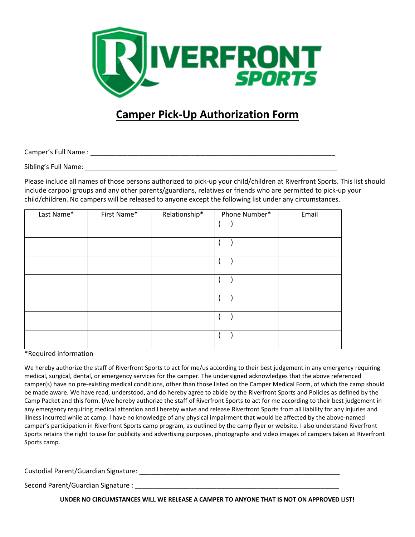

## **Camper Pick-Up Authorization Form**

Camper's Full Name : \_\_\_\_\_\_\_\_\_\_\_\_\_\_\_\_\_\_\_\_\_\_\_\_\_\_\_\_\_\_\_\_\_\_\_\_\_\_\_\_\_\_\_\_\_\_\_\_\_\_\_\_\_\_\_\_\_\_\_\_\_\_\_\_\_\_

Sibling's Full Name: \_\_\_\_\_\_\_\_\_\_\_\_\_\_\_\_\_\_\_\_\_\_\_\_\_\_\_\_\_\_\_\_\_\_\_\_\_\_\_\_\_\_\_\_\_\_\_\_\_\_\_\_\_\_\_\_\_\_\_\_\_\_\_\_\_\_\_\_

Please include all names of those persons authorized to pick-up your child/children at Riverfront Sports. This list should include carpool groups and any other parents/guardians, relatives or friends who are permitted to pick-up your child/children. No campers will be released to anyone except the following list under any circumstances.

| Last Name* | First Name* | Relationship* | Phone Number* | Email |
|------------|-------------|---------------|---------------|-------|
|            |             |               |               |       |
|            |             |               |               |       |
|            |             |               |               |       |
|            |             |               |               |       |
|            |             |               |               |       |
|            |             |               |               |       |
|            |             |               |               |       |

\*Required information

We hereby authorize the staff of Riverfront Sports to act for me/us according to their best judgement in any emergency requiring medical, surgical, dental, or emergency services for the camper. The undersigned acknowledges that the above referenced camper(s) have no pre-existing medical conditions, other than those listed on the Camper Medical Form, of which the camp should be made aware. We have read, understood, and do hereby agree to abide by the Riverfront Sports and Policies as defined by the Camp Packet and this form. I/we hereby authorize the staff of Riverfront Sports to act for me according to their best judgement in any emergency requiring medical attention and I hereby waive and release Riverfront Sports from all liability for any injuries and illness incurred while at camp. I have no knowledge of any physical impairment that would be affected by the above-named camper's participation in Riverfront Sports camp program, as outlined by the camp flyer or website. I also understand Riverfront Sports retains the right to use for publicity and advertising purposes, photographs and video images of campers taken at Riverfront Sports camp.

Custodial Parent/Guardian Signature: \_\_\_\_\_\_\_\_\_\_\_\_\_\_\_\_\_\_\_\_\_\_\_\_\_\_\_\_\_\_\_\_\_\_\_\_\_\_\_\_\_\_\_\_\_\_\_\_\_\_\_\_\_\_

Second Parent/Guardian Signature :

**UNDER NO CIRCUMSTANCES WILL WE RELEASE A CAMPER TO ANYONE THAT IS NOT ON APPROVED LIST!**